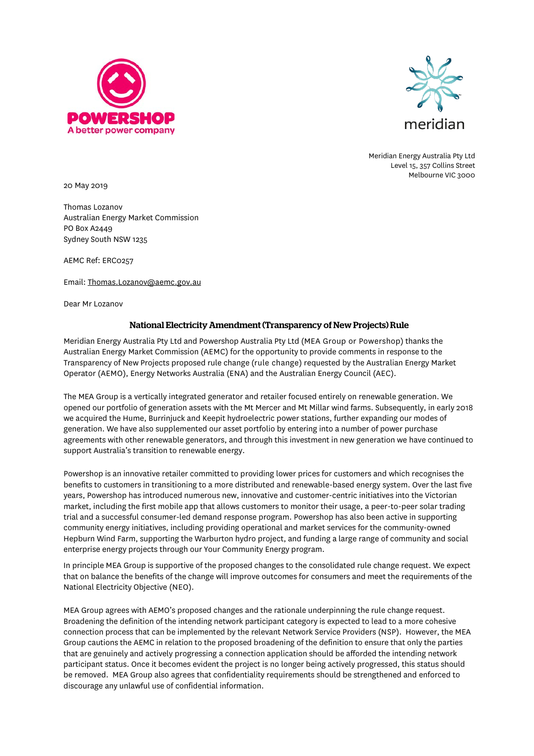



Meridian Energy Australia Pty Ltd Level 15, 357 Collins Street Melbourne VIC 3000

20 May 2019

Thomas Lozanov Australian Energy Market Commission PO Box A2449 Sydney South NSW 1235

AEMC Ref: ERC0257

Email: [Thomas.Lozanov@aemc.gov.au](mailto:Thomas.Lozanov@aemc.gov.au)

Dear Mr Lozanov

## National Electricity Amendment (Transparency of New Projects) Rule

Meridian Energy Australia Pty Ltd and Powershop Australia Pty Ltd (MEA Group or Powershop) thanks the Australian Energy Market Commission (AEMC) for the opportunity to provide comments in response to the Transparency of New Projects proposed rule change (rule change) requested by the Australian Energy Market Operator (AEMO), Energy Networks Australia (ENA) and the Australian Energy Council (AEC).

The MEA Group is a vertically integrated generator and retailer focused entirely on renewable generation. We opened our portfolio of generation assets with the Mt Mercer and Mt Millar wind farms. Subsequently, in early 2018 we acquired the Hume, Burrinjuck and Keepit hydroelectric power stations, further expanding our modes of generation. We have also supplemented our asset portfolio by entering into a number of power purchase agreements with other renewable generators, and through this investment in new generation we have continued to support Australia's transition to renewable energy.

Powershop is an innovative retailer committed to providing lower prices for customers and which recognises the benefits to customers in transitioning to a more distributed and renewable-based energy system. Over the last five years, Powershop has introduced numerous new, innovative and customer-centric initiatives into the Victorian market, including the first mobile app that allows customers to monitor their usage, a peer-to-peer solar trading trial and a successful consumer-led demand response program. Powershop has also been active in supporting community energy initiatives, including providing operational and market services for the community-owned Hepburn Wind Farm, supporting the Warburton hydro project, and funding a large range of community and social enterprise energy projects through our Your Community Energy program.

In principle MEA Group is supportive of the proposed changes to the consolidated rule change request. We expect that on balance the benefits of the change will improve outcomes for consumers and meet the requirements of the National Electricity Objective (NEO).

MEA Group agrees with AEMO's proposed changes and the rationale underpinning the rule change request. Broadening the definition of the intending network participant category is expected to lead to a more cohesive connection process that can be implemented by the relevant Network Service Providers (NSP). However, the MEA Group cautions the AEMC in relation to the proposed broadening of the definition to ensure that only the parties that are genuinely and actively progressing a connection application should be afforded the intending network participant status. Once it becomes evident the project is no longer being actively progressed, this status should be removed. MEA Group also agrees that confidentiality requirements should be strengthened and enforced to discourage any unlawful use of confidential information.